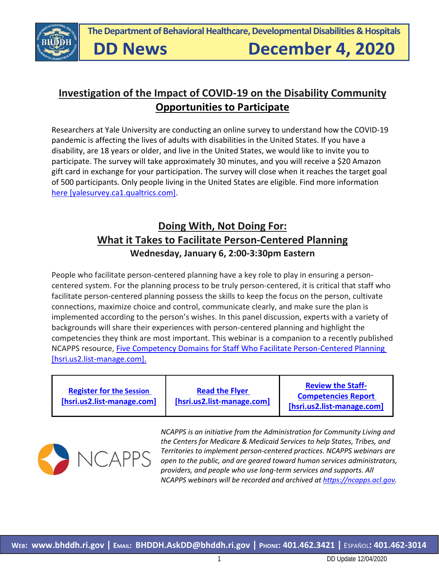

**DD News** 

# **Investigation of the Impact of COVID-19 on the Disability Community Opportunities to Participate**

Researchers at Yale University are conducting an online survey to understand how the COVID-19 pandemic is affecting the lives of adults with disabilities in the United States. If you have a disability, are 18 years or older, and live in the United States, we would like to invite you to participate. The survey will take approximately 30 minutes, and you will receive a \$20 Amazon gift card in exchange for your participation. The survey will close when it reaches the target goal of 500 participants. Only people living in the United States are eligible. Find more information [here \[yalesurvey.ca1.qualtrics.com\].](https://urldefense.com/v3/__https:/yalesurvey.ca1.qualtrics.com/jfe/form/SV_eA8iO1s5wQ4f3JX__;!!KKphUJtCzQ!fOy1dvPND2ebt3C9PBWuWV92chQ65z3GoZ327jFYyjZI1iqQPC35lR6qMjtSHq2jGxvNFoZpMsg$)

# **Doing With, Not Doing For: What it Takes to Facilitate Person-Centered Planning Wednesday, January 6, 2:00-3:30pm Eastern**

People who facilitate person-centered planning have a key role to play in ensuring a personcentered system. For the planning process to be truly person-centered, it is critical that staff who facilitate person-centered planning possess the skills to keep the focus on the person, cultivate connections, maximize choice and control, communicate clearly, and make sure the plan is implemented according to the person's wishes. In this panel discussion, experts with a variety of backgrounds will share their experiences with person-centered planning and highlight the competencies they think are most important. This webinar is a companion to a recently published NCAPPS resource, [Five Competency Domains for Staff Who Facilitate Person-Centered Planning](https://urldefense.com/v3/__https:/hsri.us2.list-manage.com/track/click?u=abe97fa7a35fb4137a263a13a&id=b09190a30d&e=af048923e9__;!!KKphUJtCzQ!abh08Ms7cy_J-OmsxDYhCKBSEELn7yp2jPMcnMCt86wMtdjGukdcfF8tx49N-lOcRdrkQDs$)  [\[hsri.us2.list-manage.com\].](https://urldefense.com/v3/__https:/hsri.us2.list-manage.com/track/click?u=abe97fa7a35fb4137a263a13a&id=b09190a30d&e=af048923e9__;!!KKphUJtCzQ!abh08Ms7cy_J-OmsxDYhCKBSEELn7yp2jPMcnMCt86wMtdjGukdcfF8tx49N-lOcRdrkQDs$)

| <b>Register for the Session</b><br>[hsri.us2.list-manage.com] | <b>Read the Flyer</b><br>[hsri.us2.list-manage.com] | <b>Review the Staff-</b><br><b>Competencies Report</b><br>[hsri.us2.list-manage.com] |
|---------------------------------------------------------------|-----------------------------------------------------|--------------------------------------------------------------------------------------|
|---------------------------------------------------------------|-----------------------------------------------------|--------------------------------------------------------------------------------------|



*NCAPPS is an initiative from the Administration for Community Living and the Centers for Medicare & Medicaid Services to help States, Tribes, and Territories to implement person-centered practices. NCAPPS webinars are open to the public, and are geared toward human services administrators, providers, and people who use long-term services and supports. All NCAPPS webinars will be recorded and archived at https://ncapps.acl.gov.*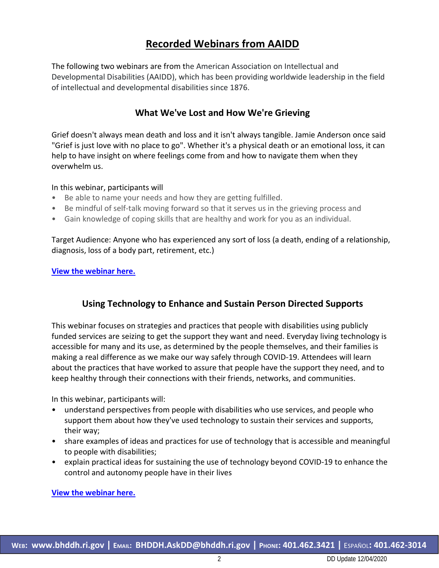# **Recorded Webinars from AAIDD**

The following two webinars are from the American Association on Intellectual and Developmental Disabilities (AAIDD), which has been providing worldwide leadership in the field of intellectual and developmental disabilities since 1876.

### **What We've Lost and How We're Grieving**

Grief doesn't always mean death and loss and it isn't always tangible. Jamie Anderson once said "Grief is just love with no place to go". Whether it's a physical death or an emotional loss, it can help to have insight on where feelings come from and how to navigate them when they overwhelm us.

#### In this webinar, participants will

- Be able to name your needs and how they are getting fulfilled.
- Be mindful of self-talk moving forward so that it serves us in the grieving process and
- Gain knowledge of coping skills that are healthy and work for you as an individual.

Target Audience: Anyone who has experienced any sort of loss (a death, ending of a relationship, diagnosis, loss of a body part, retirement, etc.)

**[View the webinar here.](https://www.aaidd.org/education/education-archive/2020/11/24/default-calendar/what-we)**

### **Using Technology to Enhance and Sustain Person Directed Supports**

This webinar focuses on strategies and practices that people with disabilities using publicly funded services are seizing to get the support they want and need. Everyday living technology is accessible for many and its use, as determined by the people themselves, and their families is making a real difference as we make our way safely through COVID-19. Attendees will learn about the practices that have worked to assure that people have the support they need, and to keep healthy through their connections with their friends, networks, and communities.

In this webinar, participants will:

- understand perspectives from people with disabilities who use services, and people who support them about how they've used technology to sustain their services and supports, their way;
- share examples of ideas and practices for use of technology that is accessible and meaningful to people with disabilities;
- explain practical ideas for sustaining the use of technology beyond COVID-19 to enhance the control and autonomy people have in their lives

**[View the webinar here.](https://www.aaidd.org/education/education-archive/2020/10/27/default-calendar/using-technology-to-enhance-and-sustain-person-directed-supports)**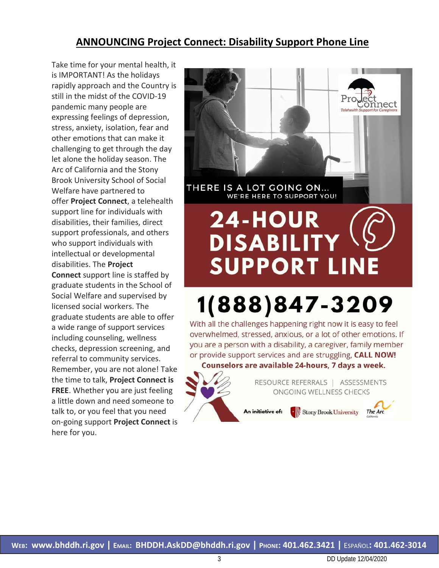### **ANNOUNCING Project Connect: Disability Support Phone Line**

Take time for your mental health, it is IMPORTANT! As the holidays rapidly approach and the Country is still in the midst of the COVID-19 pandemic many people are expressing feelings of depression, stress, anxiety, isolation, fear and other emotions that can make it challenging to get through the day let alone the holiday season. The Arc of California and the Stony Brook University School of Social Welfare have partnered to offer **Project Connect**, a telehealth support line for individuals with disabilities, their families, direct support professionals, and others who support individuals with intellectual or developmental disabilities. The **Project Connect** support line is staffed by graduate students in the School of Social Welfare and supervised by licensed social workers. The graduate students are able to offer a wide range of support services including counseling, wellness checks, depression screening, and referral to community services. Remember, you are not alone! Take the time to talk, **Project Connect is FREE**. Whether you are just feeling a little down and need someone to talk to, or you feel that you need on-going support **Project Connect** is here for you.





RESOURCE REFERRALS | ASSESSMENTS ONGOING WELLNESS CHECKS

An initiative of:

\* Stony Brook University

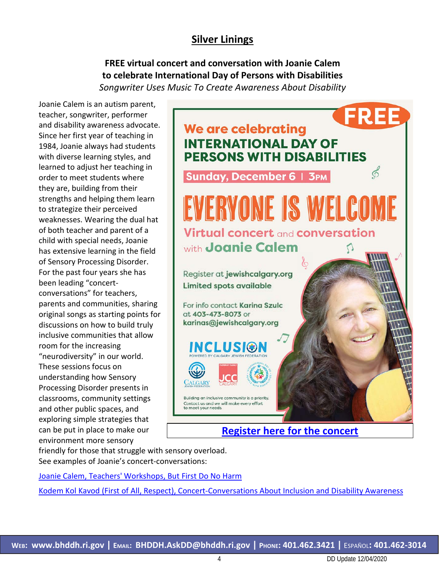### **Silver Linings**

**FREE virtual concert and conversation with Joanie Calem to celebrate International Day of Persons with Disabilities** *Songwriter Uses Music To Create Awareness About Disability*

Joanie Calem is an autism parent, teacher, songwriter, performer and disability awareness advocate. Since her first year of teaching in 1984, Joanie always had students with diverse learning styles, and learned to adjust her teaching in order to meet students where they are, building from their strengths and helping them learn to strategize their perceived weaknesses. Wearing the dual hat of both teacher and parent of a child with special needs, Joanie has extensive learning in the field of Sensory Processing Disorder. For the past four years she has been leading "concertconversations" for teachers, parents and communities, sharing original songs as starting points for discussions on how to build truly inclusive communities that allow room for the increasing "neurodiversity" in our world. These sessions focus on understanding how Sensory Processing Disorder presents in classrooms, community settings and other public spaces, and exploring simple strategies that can be put in place to make our environment more sensory



friendly for those that struggle with sensory overload. See examples of Joanie's concert-conversations:

[Joanie Calem, Teachers' Workshops, But First Do No Harm](https://youtu.be/c71W-Pj1AGg)

Kodem Kol Kavod [\(First of All, Respect\), Concert-Conversations About Inclusion and Disability Awareness](https://www.youtube.com/watch?v=MJCC7_UhJH0)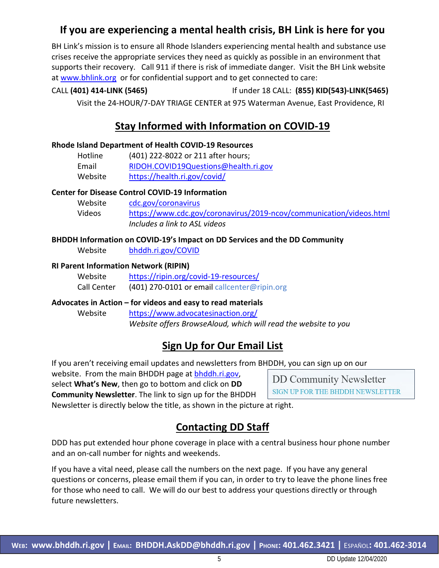### **If you are experiencing a mental health crisis, BH Link is here for you**

BH Link's mission is to ensure all Rhode Islanders experiencing mental health and substance use crises receive the appropriate services they need as quickly as possible in an environment that supports their recovery. Call 911 if there is risk of immediate danger. Visit the BH Link website at [www.bhlink.org](http://www.bhlink.org/) or for confidential support and to get connected to care:

#### CALL **(401) 414-LINK (5465)** If under 18 CALL: **(855) KID(543)-LINK(5465)**

Visit the 24-HOUR/7-DAY TRIAGE CENTER at 975 Waterman Avenue, East Providence, RI

### **Stay Informed with Information on COVID-19**

#### **Rhode Island Department of Health COVID-19 Resources**

| Hotline | (401) 222-8022 or 211 after hours;   |
|---------|--------------------------------------|
| Email   | RIDOH.COVID19Questions@health.ri.gov |
| Website | https://health.ri.gov/covid/         |

#### **Center for Disease Control COVID-19 Information**

| Website | cdc.gov/coronavirus                                                 |
|---------|---------------------------------------------------------------------|
| Videos  | https://www.cdc.gov/coronavirus/2019-ncov/communication/videos.html |
|         | Includes a link to ASL videos                                       |

# **BHDDH Information on COVID-19's Impact on DD Services and the DD Community**

Website [bhddh.ri.gov/COVID](http://www.bhddh.ri.gov/COVID) 

#### **RI Parent Information Network (RIPIN)**

| Website     | https://ripin.org/covid-19-resources/        |
|-------------|----------------------------------------------|
| Call Center | (401) 270-0101 or email callcenter@ripin.org |

#### **Advocates in Action – for videos and easy to read materials**

Website <https://www.advocatesinaction.org/> *Website offers BrowseAloud, which will read the website to you*

### **Sign Up for Our Email List**

If you aren't receiving email updates and newsletters from BHDDH, you can sign up on our

website. From the main BHDDH page at **bhddh.ri.gov**,

select **What's New**, then go to bottom and click on **DD** 

**Community Newsletter**. The link to sign up for the BHDDH

# **DD Community Newsletter** SIGN UP FOR THE BHDDH NEWSLETTER

Newsletter is directly below the title, as shown in the picture at right.

# **Contacting DD Staff**

DDD has put extended hour phone coverage in place with a central business hour phone number and an on-call number for nights and weekends.

If you have a vital need, please call the numbers on the next page. If you have any general questions or concerns, please email them if you can, in order to try to leave the phone lines free for those who need to call. We will do our best to address your questions directly or through future newsletters.